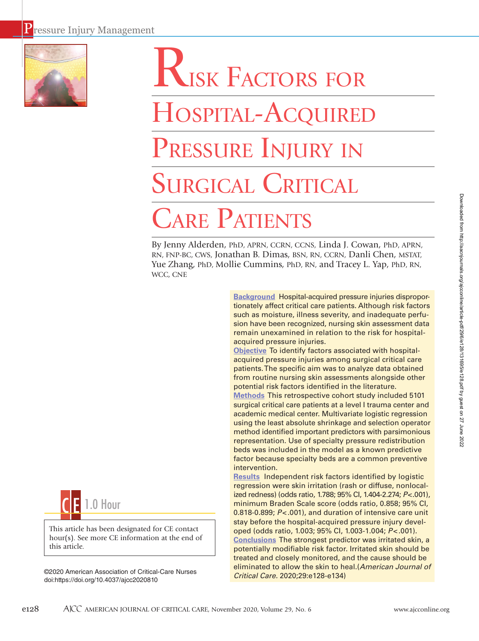

# Risk Factors for HOSPITAL-ACQUIRED PRESSURE INJURY IN SURGICAL CRITICAL

# Care Patients

By Jenny Alderden, PhD, APRN, CCRN, CCNS, Linda J. Cowan, PhD, APRN, RN, FNP-BC, CWS, Jonathan B. Dimas, BSN, RN, CCRN, Danli Chen, MSTAT, Yue Zhang, PhD, Mollie Cummins, PhD, RN, and Tracey L. Yap, PhD, RN, WCC, CNE

> **Background** Hospital-acquired pressure injuries disproportionately affect critical care patients. Although risk factors such as moisture, illness severity, and inadequate perfusion have been recognized, nursing skin assessment data remain unexamined in relation to the risk for hospitalacquired pressure injuries.

**Objective** To identify factors associated with hospitalacquired pressure injuries among surgical critical care patients. The specific aim was to analyze data obtained from routine nursing skin assessments alongside other potential risk factors identified in the literature.

**Methods** This retrospective cohort study included 5101 surgical critical care patients at a level I trauma center and academic medical center. Multivariate logistic regression using the least absolute shrinkage and selection operator method identified important predictors with parsimonious representation. Use of specialty pressure redistribution beds was included in the model as a known predictive factor because specialty beds are a common preventive intervention.

**Results** Independent risk factors identified by logistic regression were skin irritation (rash or diffuse, nonlocalized redness) (odds ratio, 1.788; 95% CI, 1.404-2.274; *P*<.001), minimum Braden Scale score (odds ratio, 0.858; 95% CI, 0.818-0.899; *P*<.001), and duration of intensive care unit stay before the hospital-acquired pressure injury developed (odds ratio, 1.003; 95% CI, 1.003-1.004; *P*<.001). **Conclusions** The strongest predictor was irritated skin, a potentially modifiable risk factor. Irritated skin should be treated and closely monitored, and the cause should be eliminated to allow the skin to heal.(*American Journal of Critical Care.* 2020;29:e128-e134)

Downloaded from http://aacnjournals.org/ajcoonline/article-pdf/29/6/e128/131695/e128.pdf by guest on 27 June 2022 Downloaded from http://aacnjournals.org/ajcconline/article-pdf/29/6/e128/131695/e128.pdf by guest on 27 June 2022



This article has been designated for CE contact hour(s). See more CE information at the end of this article.

©2020 American Association of Critical-Care Nurses doi:https://doi.org/10.4037/ajcc2020810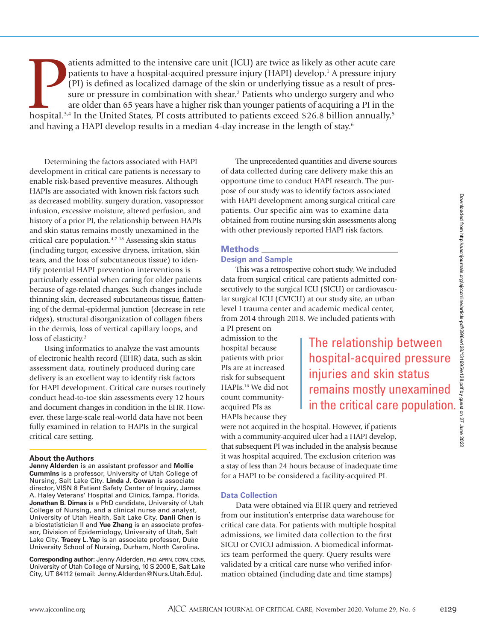atients admitted to the intensive care unit (ICU) are twice as likely as other acute care<br>patients to have a hospital-acquired pressure injury (HAPI) develop.<sup>1</sup> A pressure injury<br>(PI) is defined as localized damage of the atients admitted to the intensive care unit (ICU) are twice as likely as other acute care patients to have a hospital-acquired pressure injury (HAPI) develop.<sup>1</sup> A pressure injury (PI) is defined as localized damage of the skin or underlying tissue as a result of pressure or pressure in combination with shear.<sup>2</sup> Patients who undergo surgery and who are older than 65 years have a higher risk than younger patients of acquiring a PI in the and having a HAPI develop results in a median 4-day increase in the length of stay.6

Determining the factors associated with HAPI development in critical care patients is necessary to enable risk-based preventive measures. Although HAPIs are associated with known risk factors such as decreased mobility, surgery duration, vasopressor infusion, excessive moisture, altered perfusion, and history of a prior PI, the relationship between HAPIs and skin status remains mostly unexamined in the critical care population.4,7-18 Assessing skin status (including turgor, excessive dryness, irritation, skin tears, and the loss of subcutaneous tissue) to identify potential HAPI prevention interventions is particularly essential when caring for older patients because of age-related changes. Such changes include thinning skin, decreased subcutaneous tissue, flattening of the dermal-epidermal junction (decrease in rete ridges), structural disorganization of collagen fibers in the dermis, loss of vertical capillary loops, and loss of elasticity.<sup>2</sup>

Using informatics to analyze the vast amounts of electronic health record (EHR) data, such as skin assessment data, routinely produced during care delivery is an excellent way to identify risk factors for HAPI development. Critical care nurses routinely conduct head-to-toe skin assessments every 12 hours and document changes in condition in the EHR. However, these large-scale real-world data have not been fully examined in relation to HAPIs in the surgical critical care setting.

#### **About the Authors**

**Jenny Alderden** is an assistant professor and **Mollie Cummins** is a professor, University of Utah College of Nursing, Salt Lake City. **Linda J. Cowan** is associate director, VISN 8 Patient Safety Center of Inquiry, James A. Haley Veterans' Hospital and Clinics, Tampa, Florida. **Jonathan B. Dimas** is a PhD candidate, University of Utah College of Nursing, and a clinical nurse and analyst, University of Utah Health, Salt Lake City. **Danli Chen** is a biostatistician II and **Yue Zhang** is an associate professor, Division of Epidemiology, University of Utah, Salt Lake City. **Tracey L. Yap** is an associate professor, Duke University School of Nursing, Durham, North Carolina.

**Corresponding author:** Jenny Alderden, PhD, APRN, CCRN, CCNS, University of Utah College of Nursing, 10 S 2000 E, Salt Lake City, UT 84112 (email: Jenny.Alderden@Nurs.Utah.Edu).

The unprecedented quantities and diverse sources of data collected during care delivery make this an opportune time to conduct HAPI research. The purpose of our study was to identify factors associated with HAPI development among surgical critical care patients. Our specific aim was to examine data obtained from routine nursing skin assessments along with other previously reported HAPI risk factors.

## **Methods**

# **Design and Sample**

This was a retrospective cohort study. We included data from surgical critical care patients admitted consecutively to the surgical ICU (SICU) or cardiovascular surgical ICU (CVICU) at our study site, an urban level I trauma center and academic medical center, from 2014 through 2018. We included patients with

a PI present on admission to the hospital because patients with prior PIs are at increased risk for subsequent HAPIs.16 We did not count communityacquired PIs as HAPIs because they

The relationship between hospital-acquired pressure injuries and skin status remains mostly unexamined in the critical care population.

were not acquired in the hospital. However, if patients with a community-acquired ulcer had a HAPI develop, that subsequent PI was included in the analysis because it was hospital acquired. The exclusion criterion was a stay of less than 24 hours because of inadequate time for a HAPI to be considered a facility-acquired PI.

#### **Data Collection**

Data were obtained via EHR query and retrieved from our institution's enterprise data warehouse for critical care data. For patients with multiple hospital admissions, we limited data collection to the first SICU or CVICU admission. A biomedical informatics team performed the query. Query results were validated by a critical care nurse who verified information obtained (including date and time stamps)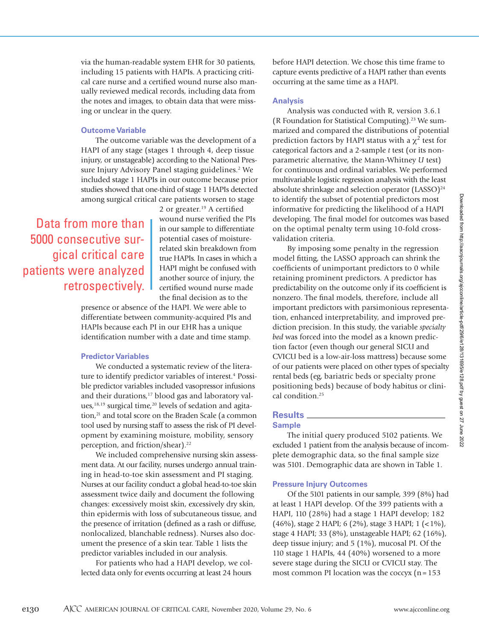via the human-readable system EHR for 30 patients, including 15 patients with HAPIs. A practicing critical care nurse and a certified wound nurse also manually reviewed medical records, including data from the notes and images, to obtain data that were missing or unclear in the query.

# **Outcome Variable**

The outcome variable was the development of a HAPI of any stage (stages 1 through 4, deep tissue injury, or unstageable) according to the National Pressure Injury Advisory Panel staging guidelines.<sup>2</sup> We included stage 1 HAPIs in our outcome because prior studies showed that one-third of stage 1 HAPIs detected among surgical critical care patients worsen to stage

Data from more than 5000 consecutive surgical critical care patients were analyzed retrospectively.

2 or greater.<sup>19</sup> A certified wound nurse verified the PIs in our sample to differentiate potential cases of moisturerelated skin breakdown from true HAPIs. In cases in which a HAPI might be confused with another source of injury, the certified wound nurse made the final decision as to the

presence or absence of the HAPI. We were able to differentiate between community-acquired PIs and HAPIs because each PI in our EHR has a unique identification number with a date and time stamp.

## **Predictor Variables**

We conducted a systematic review of the literature to identify predictor variables of interest.<sup>4</sup> Possible predictor variables included vasopressor infusions and their durations,<sup>17</sup> blood gas and laboratory values, $18,19$  surgical time, $20$  levels of sedation and agitation,<sup>21</sup> and total score on the Braden Scale (a common tool used by nursing staff to assess the risk of PI development by examining moisture, mobility, sensory perception, and friction/shear).<sup>22</sup>

We included comprehensive nursing skin assessment data. At our facility, nurses undergo annual training in head-to-toe skin assessment and PI staging. Nurses at our facility conduct a global head-to-toe skin assessment twice daily and document the following changes: excessively moist skin, excessively dry skin, thin epidermis with loss of subcutaneous tissue, and the presence of irritation (defined as a rash or diffuse, nonlocalized, blanchable redness). Nurses also document the presence of a skin tear. Table 1 lists the predictor variables included in our analysis.

For patients who had a HAPI develop, we collected data only for events occurring at least 24 hours

before HAPI detection. We chose this time frame to capture events predictive of a HAPI rather than events occurring at the same time as a HAPI.

#### **Analysis**

Analysis was conducted with R, version 3.6.1 (R Foundation for Statistical Computing).23 We summarized and compared the distributions of potential prediction factors by HAPI status with a  $\chi^2$  test for categorical factors and a 2-sample *t* test (or its nonparametric alternative, the Mann-Whitney *U* test) for continuous and ordinal variables. We performed multivariable logistic regression analysis with the least absolute shrinkage and selection operator  $(LASSO)<sup>24</sup>$ to identify the subset of potential predictors most informative for predicting the likelihood of a HAPI developing. The final model for outcomes was based on the optimal penalty term using 10-fold crossvalidation criteria.

By imposing some penalty in the regression model fitting, the LASSO approach can shrink the coefficients of unimportant predictors to 0 while retaining prominent predictors. A predictor has predictability on the outcome only if its coefficient is nonzero. The final models, therefore, include all important predictors with parsimonious representation, enhanced interpretability, and improved prediction precision. In this study, the variable *specialty bed* was forced into the model as a known prediction factor (even though our general SICU and CVICU bed is a low-air-loss mattress) because some of our patients were placed on other types of specialty rental beds (eg, bariatric beds or specialty prone positioning beds) because of body habitus or clinical condition.<sup>25</sup>

# **Results**

# **Sample**

The initial query produced 5102 patients. We excluded 1 patient from the analysis because of incomplete demographic data, so the final sample size was 5101. Demographic data are shown in Table 1.

## **Pressure Injury Outcomes**

Of the 5101 patients in our sample, 399 (8%) had at least 1 HAPI develop. Of the 399 patients with a HAPI, 110 (28%) had a stage 1 HAPI develop; 182 (46%), stage 2 HAPI; 6 (2%), stage 3 HAPI; 1 (<1%), stage 4 HAPI; 33 (8%), unstageable HAPI; 62 (16%), deep tissue injury; and 5 (1%), mucosal PI. Of the 110 stage 1 HAPIs, 44 (40%) worsened to a more severe stage during the SICU or CVICU stay. The most common PI location was the coccyx  $(n=153)$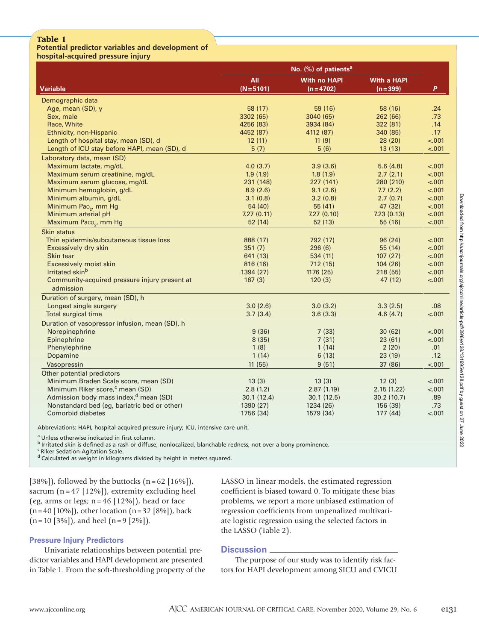# **Table 1**

#### **Potential predictor variables and development of hospital-acquired pressure injury**

| nospitai-acquired pressure injury                 |                                  |                     |                    |         |
|---------------------------------------------------|----------------------------------|---------------------|--------------------|---------|
|                                                   | No. (%) of patients <sup>a</sup> |                     |                    |         |
|                                                   | All                              | <b>With no HAPI</b> | <b>With a HAPI</b> |         |
| <b>Variable</b>                                   | $(N=5101)$                       | $(n=4702)$          | $(n=399)$          | P       |
| Demographic data                                  |                                  |                     |                    |         |
| Age, mean (SD), y                                 | 58 (17)                          | 59 (16)             | 58 (16)            | .24     |
| Sex, male                                         | 3302 (65)                        | 3040 (65)           | 262 (66)           | .73     |
| Race, White                                       | 4256 (83)                        | 3934 (84)           | 322 (81)           | .14     |
| Ethnicity, non-Hispanic                           | 4452 (87)                        | 4112 (87)           | 340 (85)           | .17     |
| Length of hospital stay, mean (SD), d             | 12(11)                           | 11(9)               | 28(20)             | $-.001$ |
| Length of ICU stay before HAPI, mean (SD), d      | 5(7)                             | 5(6)                | 13(13)             | $-.001$ |
| Laboratory data, mean (SD)                        |                                  |                     |                    |         |
| Maximum lactate, mg/dL                            | 4.0(3.7)                         | 3.9(3.6)            | 5.6(4.8)           | $-.001$ |
| Maximum serum creatinine, mg/dL                   | 1.9(1.9)                         | 1.8(1.9)            | 2.7(2.1)           | $-.001$ |
| Maximum serum glucose, mg/dL                      | 231 (148)                        | 227 (141)           | 280 (210)          | $-.001$ |
| Minimum hemoglobin, g/dL                          | 8.9(2.6)                         | 9.1(2.6)            | 7.7(2.2)           | $-.001$ |
| Minimum albumin, g/dL                             | 3.1(0.8)                         | 3.2(0.8)            | 2.7(0.7)           | $-.001$ |
| Minimum Pao <sub>2</sub> , mm Hg                  | 54 (40)                          | 55(41)              | 47 (32)            | $-.001$ |
| Minimum arterial pH                               | 7.27(0.11)                       | 7.27(0.10)          | 7.23(0.13)         | $-.001$ |
| Maximum Paco <sub>2</sub> , mm Hg                 | 52(14)                           | 52(13)              | 55 (16)            | $-.001$ |
| <b>Skin status</b>                                |                                  |                     |                    |         |
| Thin epidermis/subcutaneous tissue loss           | 888 (17)                         | 792 (17)            | 96(24)             | $-.001$ |
| Excessively dry skin                              | 351(7)                           | 296(6)              | 55 (14)            | $-.001$ |
| Skin tear                                         | 641 (13)                         | 534(11)             | 107(27)            | $-.001$ |
| Excessively moist skin                            | 816 (16)                         | 712(15)             | 104(26)            | $-.001$ |
| Irritated skin <sup>b</sup>                       | 1394 (27)                        | 1176(25)            | 218(55)            | $-.001$ |
| Community-acquired pressure injury present at     | 167(3)                           | 120(3)              | 47 (12)            | $-.001$ |
| admission                                         |                                  |                     |                    |         |
| Duration of surgery, mean (SD), h                 |                                  |                     |                    |         |
| Longest single surgery                            | 3.0(2.6)                         | 3.0(3.2)            | 3.3(2.5)           | .08     |
| Total surgical time                               | 3.7(3.4)                         | 3.6(3.3)            | 4.6(4.7)           | $-.001$ |
| Duration of vasopressor infusion, mean (SD), h    |                                  |                     |                    |         |
| Norepinephrine                                    | 9(36)                            | 7(33)               | 30(62)             | $-.001$ |
| Epinephrine                                       | 8(35)                            | 7(31)               | 23(61)             | $-.001$ |
| Phenylephrine                                     | 1(8)                             | 1(14)               | 2(20)              | .01     |
| Dopamine                                          | 1(14)                            | 6(13)               | 23(19)             | .12     |
| Vasopressin                                       | 11(55)                           | 9(51)               | 37 (86)            | < .001  |
| Other potential predictors                        |                                  |                     |                    |         |
| Minimum Braden Scale score, mean (SD)             | 13(3)                            | 13(3)               | 12(3)              | $-.001$ |
| Minimum Riker score, <sup>c</sup> mean (SD)       | 2.8(1.2)                         | 2.87(1.19)          | 2.15(1.22)         | $-.001$ |
| Admission body mass index, <sup>d</sup> mean (SD) | 30.1(12.4)                       | 30.1(12.5)          | 30.2(10.7)         | .89     |
| Nonstandard bed (eg, bariatric bed or other)      | 1390 (27)                        | 1234 (26)           | 156 (39)           | .73     |
| <b>Comorbid diabetes</b>                          | 1756 (34)                        | 1579 (34)           | 177(44)            | $-.001$ |

Abbreviations: HAPI, hospital-acquired pressure injury; ICU, intensive care unit.

a Unless otherwise indicated in first column.

b Irritated skin is defined as a rash or diffuse, nonlocalized, blanchable redness, not over a bony prominence.

c Riker Sedation-Agitation Scale.

d Calculated as weight in kilograms divided by height in meters squared.

[38%]), followed by the buttocks  $(n=62 \mid 16\%$ ]), sacrum  $(n = 47 [12\%])$ , extremity excluding heel (eg, arms or legs;  $n = 46$  [12%]), head or face (n=40 [10%]), other location (n=32 [8%]), back  $(n=10 [3\%])$ , and heel  $(n=9 [2\%])$ .

# **Pressure Injury Predictors**

Univariate relationships between potential predictor variables and HAPI development are presented in Table 1. From the soft-thresholding property of the LASSO in linear models, the estimated regression coefficient is biased toward 0. To mitigate these bias problems, we report a more unbiased estimation of regression coefficients from unpenalized multivariate logistic regression using the selected factors in the LASSO (Table 2).

# **Discussion**

The purpose of our study was to identify risk factors for HAPI development among SICU and CVICU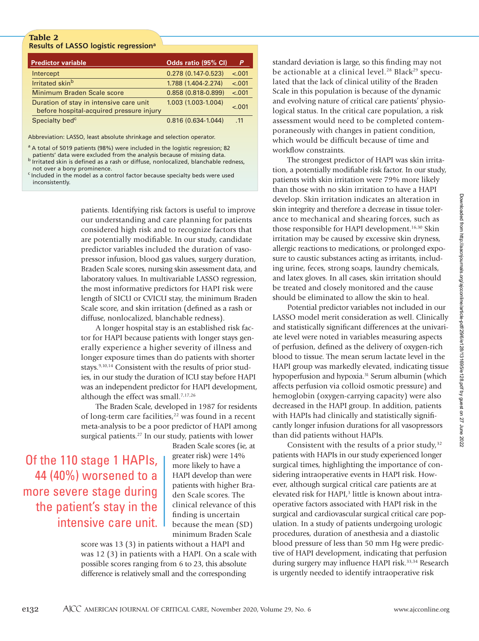# **Table 2 Results of LASSO logistic regressiona**

| <b>Predictor variable</b>                                                           | Odds ratio (95% CI)    | P       |
|-------------------------------------------------------------------------------------|------------------------|---------|
| Intercept                                                                           | $0.278(0.147-0.523)$   | $-.001$ |
| Irritated skinb                                                                     | 1.788 (1.404-2.274)    | $-.001$ |
| Minimum Braden Scale score                                                          | $0.858(0.818 - 0.899)$ | $-.001$ |
| Duration of stay in intensive care unit<br>before hospital-acquired pressure injury | 1.003 (1.003-1.004)    | $-.001$ |
| Specialty bed <sup>c</sup>                                                          | $0.816(0.634-1.044)$   | .11     |

Abbreviation: LASSO, least absolute shrinkage and selection operator.

<sup>a</sup> A total of 5019 patients (98%) were included in the logistic regression; 82

patients' data were excluded from the analysis because of missing data.<br><sup>b</sup> Irritated skin is defined as a rash or diffuse, nonlocalized, blanchable redness, not over a bony prominence.<br><sup>c</sup> Included in the model as a control factor because specialty beds were used

inconsistently.

patients. Identifying risk factors is useful to improve our understanding and care planning for patients considered high risk and to recognize factors that are potentially modifiable. In our study, candidate predictor variables included the duration of vasopressor infusion, blood gas values, surgery duration, Braden Scale scores, nursing skin assessment data, and laboratory values. In multivariable LASSO regression, the most informative predictors for HAPI risk were length of SICU or CVICU stay, the minimum Braden Scale score, and skin irritation (defined as a rash or diffuse, nonlocalized, blanchable redness).

A longer hospital stay is an established risk factor for HAPI because patients with longer stays generally experience a higher severity of illness and longer exposure times than do patients with shorter stays.<sup>9,10,14</sup> Consistent with the results of prior studies, in our study the duration of ICU stay before HAPI was an independent predictor for HAPI development, although the effect was small.<sup>7,17,26</sup>

The Braden Scale, developed in 1987 for residents of long-term care facilities, $22$  was found in a recent meta-analysis to be a poor predictor of HAPI among surgical patients.<sup>27</sup> In our study, patients with lower

Of the 110 stage 1 HAPIs, 44 (40%) worsened to a more severe stage during the patient's stay in the intensive care unit.

Braden Scale scores (ie, at greater risk) were 14% more likely to have a HAPI develop than were patients with higher Braden Scale scores. The clinical relevance of this finding is uncertain because the mean (SD) minimum Braden Scale

score was 13 (3) in patients without a HAPI and was 12 (3) in patients with a HAPI. On a scale with possible scores ranging from 6 to 23, this absolute difference is relatively small and the corresponding

standard deviation is large, so this finding may not be actionable at a clinical level.<sup>28</sup> Black<sup>29</sup> speculated that the lack of clinical utility of the Braden Scale in this population is because of the dynamic and evolving nature of critical care patients' physiological status. In the critical care population, a risk assessment would need to be completed contemporaneously with changes in patient condition, which would be difficult because of time and workflow constraints.

The strongest predictor of HAPI was skin irritation, a potentially modifiable risk factor. In our study, patients with skin irritation were 79% more likely than those with no skin irritation to have a HAPI develop. Skin irritation indicates an alteration in skin integrity and therefore a decrease in tissue tolerance to mechanical and shearing forces, such as those responsible for HAPI development.<sup>16,30</sup> Skin irritation may be caused by excessive skin dryness, allergic reactions to medications, or prolonged exposure to caustic substances acting as irritants, including urine, feces, strong soaps, laundry chemicals, and latex gloves. In all cases, skin irritation should be treated and closely monitored and the cause should be eliminated to allow the skin to heal.

Potential predictor variables not included in our LASSO model merit consideration as well. Clinically and statistically significant differences at the univariate level were noted in variables measuring aspects of perfusion, defined as the delivery of oxygen-rich blood to tissue. The mean serum lactate level in the HAPI group was markedly elevated, indicating tissue hypoperfusion and hypoxia.<sup>31</sup> Serum albumin (which affects perfusion via colloid osmotic pressure) and hemoglobin (oxygen-carrying capacity) were also decreased in the HAPI group. In addition, patients with HAPIs had clinically and statistically significantly longer infusion durations for all vasopressors than did patients without HAPIs.

Consistent with the results of a prior study, $32$ patients with HAPIs in our study experienced longer surgical times, highlighting the importance of considering intraoperative events in HAPI risk. However, although surgical critical care patients are at elevated risk for HAPI,<sup>3</sup> little is known about intraoperative factors associated with HAPI risk in the surgical and cardiovascular surgical critical care population. In a study of patients undergoing urologic procedures, duration of anesthesia and a diastolic blood pressure of less than 50 mm Hg were predictive of HAPI development, indicating that perfusion during surgery may influence HAPI risk.<sup>33,34</sup> Research is urgently needed to identify intraoperative risk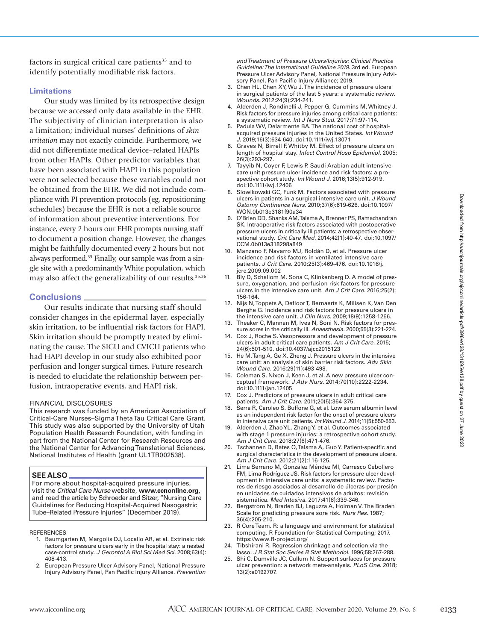factors in surgical critical care patients<sup>33</sup> and to identify potentially modifiable risk factors.

#### **Limitations**

Our study was limited by its retrospective design because we accessed only data available in the EHR. The subjectivity of clinician interpretation is also a limitation; individual nurses' definitions of *skin irritation* may not exactly coincide. Furthermore, we did not differentiate medical device–related HAPIs from other HAPIs. Other predictor variables that have been associated with HAPI in this population were not selected because these variables could not be obtained from the EHR. We did not include compliance with PI prevention protocols (eg, repositioning schedules) because the EHR is not a reliable source of information about preventive interventions. For instance, every 2 hours our EHR prompts nursing staff to document a position change. However, the changes might be faithfully documented every 2 hours but not always performed.35 Finally, our sample was from a single site with a predominantly White population, which may also affect the generalizability of our results.<sup>35,36</sup>

# **Conclusions**

Our results indicate that nursing staff should consider changes in the epidermal layer, especially skin irritation, to be influential risk factors for HAPI. Skin irritation should be promptly treated by eliminating the cause. The SICU and CVICU patients who had HAPI develop in our study also exhibited poor perfusion and longer surgical times. Future research is needed to elucidate the relationship between perfusion, intraoperative events, and HAPI risk.

#### FINANCIAL DISCLOSURES

This research was funded by an American Association of Critical-Care Nurses–Sigma Theta Tau Critical Care Grant. This study was also supported by the University of Utah Population Health Research Foundation, with funding in part from the National Center for Research Resources and the National Center for Advancing Translational Sciences, National Institutes of Health (grant UL1TR002538).

#### **SEE ALSO**

For more about hospital-acquired pressure injuries, visit the *Critical Care Nurse* website, **www.ccnonline.org**, and read the article by Schroeder and Sitzer, "Nursing Care Guidelines for Reducing Hospital-Acquired Nasogastric Tube–Related Pressure Injuries" (December 2019).

#### **REFERENCES**

- 1. Baumgarten M, Margolis DJ, Localio AR, et al. Extrinsic risk factors for pressure ulcers early in the hospital stay: a nested case-control study. *J Gerontol A Biol Sci Med Sci.* 2008;63(4): 408-413.
- 2. European Pressure Ulcer Advisory Panel, National Pressure Injury Advisory Panel, Pan Pacific Injury Alliance. *Prevention*

*and Treatment of Pressure Ulcers/Injuries: Clinical Practice Guideline: The International Guideline 2019.* 3rd ed. European Pressure Ulcer Advisory Panel, National Pressure Injury Advisory Panel, Pan Pacific Injury Alliance; 2019.

- 3. Chen HL, Chen XY, Wu J. The incidence of pressure ulcers in surgical patients of the last 5 years: a systematic review. *Wounds.* 2012;24(9);234-241.
- 4. Alderden J, Rondinelli J, Pepper G, Cummins M, Whitney J. Risk factors for pressure injuries among critical care patients: a systematic review. *Int J Nurs Stud.* 2017;71:97-114.
- 5. Padula WV, Delarmente BA. The national cost of hospitalacquired pressure injuries in the United States. *Int Wound J.* 2019;16(3):634-640. doi:10.1111/iwj.13071
- 6. Graves N, Birrell F, Whitby M. Effect of pressure ulcers on length of hospital stay. *Infect Control Hosp Epidemiol.* 2005; 26(3):293-297.
- 7. Tayyib N, Coyer F, Lewis P. Saudi Arabian adult intensive care unit pressure ulcer incidence and risk factors: a prospective cohort study. *Int Wound J.* 2016;13(5):912-919. doi:10.1111/iwj.12406
- 8. Slowikowski GC, Funk M. Factors associated with pressure ulcers in patients in a surgical intensive care unit. *J Wound Ostomy Continence Nurs.* 2010;37(6):619-626. doi:10.1097/ WON.0b013e3181f90a34
- 9. O'Brien DD, Shanks AM, Talsma A, Brenner PS, Ramachandran SK. Intraoperative risk factors associated with postoperative pressure ulcers in critically ill patients: a retrospective observational study. *Crit Care Med.* 2014;42(1):40-47. doi:10.1097/ CCM.0b013e318298a849
- 10. Manzano F, Navarro MJ, Roldán D, et al. Pressure ulcer incidence and risk factors in ventilated intensive care patients. *J Crit Care.* 2010;25(3):469-476. doi:10.1016/j. jcrc.2009.09.002
- 11. Bly D, Schallom M. Sona C, Klinkenberg D. A model of pressure, oxygenation, and perfusion risk factors for pressure ulcers in the intensive care unit. *Am J Crit Care.* 2016;25(2): 156-164.
- 12. Nijs N, Toppets A, Defloor T, Bernaerts K, Milisen K, Van Den Berghe G. Incidence and risk factors for pressure ulcers in the intensive care unit. *J Clin Nurs.* 2009;18(9):1258-1266.
- 13. Theaker C, Mannan M, Ives N, Soni N. Risk factors for pressure sores in the critically ill. *Anaesthesia.* 2000;55(3):221-224.
- 14. Cox J, Roche S. Vasopressors and development of pressure ulcers in adult critical care patients. *Am J Crit Care.* 2015; 24(6):501-510. doi:10.4037/ajcc2015123
- 15. He M, Tang A, Ge X, Zheng J. Pressure ulcers in the intensive care unit: an analysis of skin barrier risk factors. *Adv Skin Wound Care.* 2016;29(11):493-498.
- 16. Coleman S, Nixon J, Keen J, et al. A new pressure ulcer conceptual framework. *J Adv Nurs.* 2014;70(10):2222-2234. doi:10.1111/jan.12405
- 17. Cox J. Predictors of pressure ulcers in adult critical care patients. *Am J Crit Care.* 2011;20(5):364-375.
- 18. Serra R, Caroleo S. Buffone G, et al. Low serum albumin level as an independent risk factor for the onset of pressure ulcers in intensive care unit patients. *Int Wound J.* 2014;11(5):550-553.
- 19. Alderden J, Zhao YL, Zhang Y, et al. Outcomes associated with stage 1 pressure injuries: a retrospective cohort study. *Am J Crit Care.* 2018;27(6):471-476.
- 20. Tschannen D, Bates O, Talsma A, Guo Y. Patient-specific and surgical characteristics in the development of pressure ulcers. *Am J Crit Care.* 2012;21(2):116-125.
- 21. Lima Serrano M, González Méndez MI, Carrasco Cebollero FM, Lima Rodríguez JS. Risk factors for pressure ulcer development in intensive care units: a systematic review. Factores de riesgo asociados al desarrollo de úlceras por presión en unidades de cuidados intensivos de adultos: revisión sistemática. *Med Intesiva.* 2017;41(6):339-346.
- 22. Bergstrom N, Braden BJ, Laguzza A, Holman V. The Braden Scale for predicting pressure sore risk. *Nurs Res.* 1987; 36(4):205-210.
- 23. R Core Team. R: a language and environment for statistical computing. R Foundation for Statistical Computing; 2017. https://www.R-project.org/
- 24. Tibshirani R. Regression shrinkage and selection via the lasso. *J R Stat Soc Series B Stat Methodol.* 1996;58:267-288.
- 25. Shi C, Dumville JC, Cullum N. Support surfaces for pressure ulcer prevention: a network meta-analysis. *PLoS One.* 2018; 13(2):e0192707.